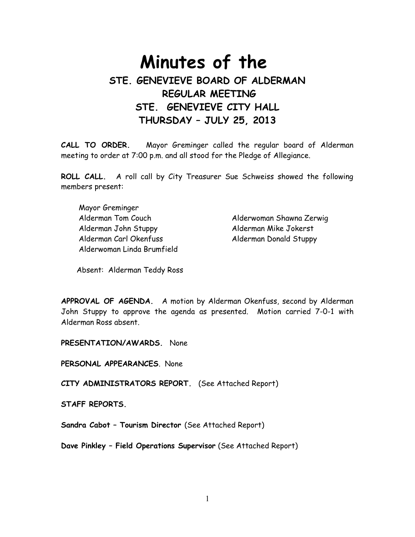# **Minutes of the STE. GENEVIEVE BOARD OF ALDERMAN REGULAR MEETING STE. GENEVIEVE CITY HALL THURSDAY – JULY 25, 2013**

**CALL TO ORDER.** Mayor Greminger called the regular board of Alderman meeting to order at 7:00 p.m. and all stood for the Pledge of Allegiance.

**ROLL CALL.** A roll call by City Treasurer Sue Schweiss showed the following members present:

 Mayor Greminger Alderman Tom Couch Alderwoman Shawna Zerwig Alderman John Stuppy Alderman Mike Jokerst Alderman Carl Okenfuss Alderman Donald Stuppy Alderwoman Linda Brumfield

Absent: Alderman Teddy Ross

**APPROVAL OF AGENDA.** A motion by Alderman Okenfuss, second by Alderman John Stuppy to approve the agenda as presented. Motion carried 7-0-1 with Alderman Ross absent.

**PRESENTATION/AWARDS.** None

**PERSONAL APPEARANCES**. None

**CITY ADMINISTRATORS REPORT.** (See Attached Report)

**STAFF REPORTS.** 

**Sandra Cabot – Tourism Director** (See Attached Report)

**Dave Pinkley – Field Operations Supervisor** (See Attached Report)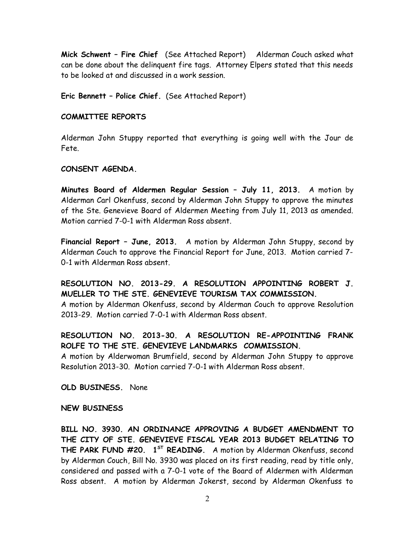**Mick Schwent – Fire Chief** (See Attached Report)Alderman Couch asked what can be done about the delinquent fire tags. Attorney Elpers stated that this needs to be looked at and discussed in a work session.

**Eric Bennett – Police Chief.** (See Attached Report)

#### **COMMITTEE REPORTS**

Alderman John Stuppy reported that everything is going well with the Jour de Fete.

## **CONSENT AGENDA.**

**Minutes Board of Aldermen Regular Session – July 11, 2013.** A motion by Alderman Carl Okenfuss, second by Alderman John Stuppy to approve the minutes of the Ste. Genevieve Board of Aldermen Meeting from July 11, 2013 as amended. Motion carried 7-0-1 with Alderman Ross absent.

**Financial Report – June, 2013.** A motion by Alderman John Stuppy, second by Alderman Couch to approve the Financial Report for June, 2013. Motion carried 7- 0-1 with Alderman Ross absent.

# **RESOLUTION NO. 2013-29. A RESOLUTION APPOINTING ROBERT J. MUELLER TO THE STE. GENEVIEVE TOURISM TAX COMMISSION.**

A motion by Alderman Okenfuss, second by Alderman Couch to approve Resolution 2013-29. Motion carried 7-0-1 with Alderman Ross absent.

# **RESOLUTION NO. 2013-30. A RESOLUTION RE-APPOINTING FRANK ROLFE TO THE STE. GENEVIEVE LANDMARKS COMMISSION.**

A motion by Alderwoman Brumfield, second by Alderman John Stuppy to approve Resolution 2013-30. Motion carried 7-0-1 with Alderman Ross absent.

**OLD BUSINESS.** None

## **NEW BUSINESS**

**BILL NO. 3930. AN ORDINANCE APPROVING A BUDGET AMENDMENT TO THE CITY OF STE. GENEVIEVE FISCAL YEAR 2013 BUDGET RELATING TO THE PARK FUND #20. 1ST READING.** A motion by Alderman Okenfuss, second by Alderman Couch, Bill No. 3930 was placed on its first reading, read by title only, considered and passed with a 7-0-1 vote of the Board of Aldermen with Alderman Ross absent. A motion by Alderman Jokerst, second by Alderman Okenfuss to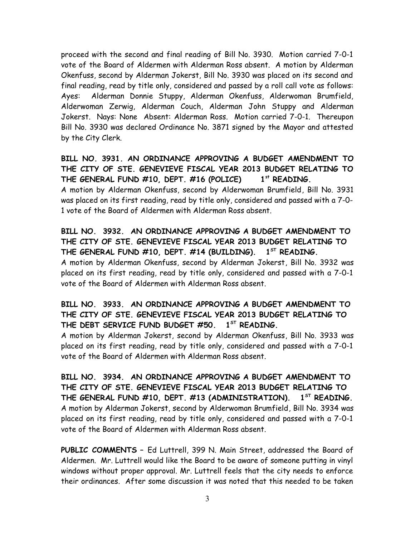proceed with the second and final reading of Bill No. 3930. Motion carried 7-0-1 vote of the Board of Aldermen with Alderman Ross absent. A motion by Alderman Okenfuss, second by Alderman Jokerst, Bill No. 3930 was placed on its second and final reading, read by title only, considered and passed by a roll call vote as follows: Ayes: Alderman Donnie Stuppy, Alderman Okenfuss, Alderwoman Brumfield, Alderwoman Zerwig, Alderman Couch, Alderman John Stuppy and Alderman Jokerst. Nays: None Absent: Alderman Ross. Motion carried 7-0-1. Thereupon Bill No. 3930 was declared Ordinance No. 3871 signed by the Mayor and attested by the City Clerk.

# **BILL NO. 3931. AN ORDINANCE APPROVING A BUDGET AMENDMENT TO THE CITY OF STE. GENEVIEVE FISCAL YEAR 2013 BUDGET RELATING TO THE GENERAL FUND #10, DEPT. #16 (POLICE) 1st READING.**

A motion by Alderman Okenfuss, second by Alderwoman Brumfield, Bill No. 3931 was placed on its first reading, read by title only, considered and passed with a 7-0- 1 vote of the Board of Aldermen with Alderman Ross absent.

# **BILL NO. 3932. AN ORDINANCE APPROVING A BUDGET AMENDMENT TO THE CITY OF STE. GENEVIEVE FISCAL YEAR 2013 BUDGET RELATING TO THE GENERAL FUND #10, DEPT. #14 (BUILDING). 1ST READING.**

A motion by Alderman Okenfuss, second by Alderman Jokerst, Bill No. 3932 was placed on its first reading, read by title only, considered and passed with a 7-0-1 vote of the Board of Aldermen with Alderman Ross absent.

# **BILL NO. 3933. AN ORDINANCE APPROVING A BUDGET AMENDMENT TO THE CITY OF STE. GENEVIEVE FISCAL YEAR 2013 BUDGET RELATING TO THE DEBT SERVICE FUND BUDGET #50. 1ST READING.**

A motion by Alderman Jokerst, second by Alderman Okenfuss, Bill No. 3933 was placed on its first reading, read by title only, considered and passed with a 7-0-1 vote of the Board of Aldermen with Alderman Ross absent.

**BILL NO. 3934. AN ORDINANCE APPROVING A BUDGET AMENDMENT TO THE CITY OF STE. GENEVIEVE FISCAL YEAR 2013 BUDGET RELATING TO THE GENERAL FUND #10, DEPT. #13 (ADMINISTRATION). 1ST READING.** A motion by Alderman Jokerst, second by Alderwoman Brumfield, Bill No. 3934 was placed on its first reading, read by title only, considered and passed with a 7-0-1 vote of the Board of Aldermen with Alderman Ross absent.

**PUBLIC COMMENTS –** Ed Luttrell, 399 N. Main Street, addressed the Board of Aldermen. Mr. Luttrell would like the Board to be aware of someone putting in vinyl windows without proper approval. Mr. Luttrell feels that the city needs to enforce their ordinances. After some discussion it was noted that this needed to be taken